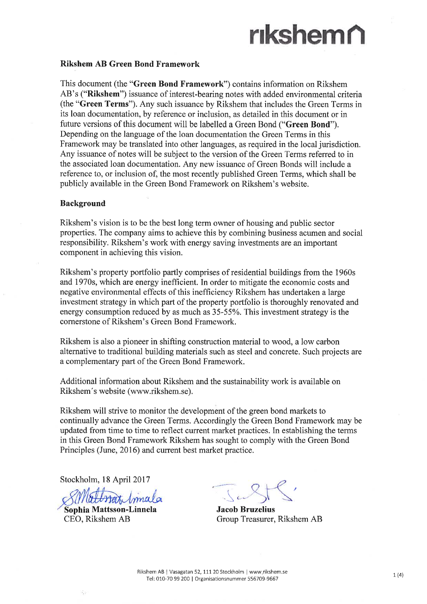# nkshemñ

#### Rikshem AB Green Bond Framework

This document (the "Green Bond Framework") contains information on Rikshem AB's ("Rikshem") issuance of interest-bearing notes with added environmental criteria (the "Green Terms").Any such issuance by Rikshem that includes the Green Terms in its loan documentation, by reference or inclusion, as detailed in this document or in future versions of this document will be labelled a Green Bond ("Green Bond"). Depending on the language of the loan documentation the Green Terms in this Framework may be translated into other languages, as required in the local jurisdiction. Any issuance of notes will be subject to the version of the Green Terms referred to in the associated loan documentation. Any new issuance of Green Bonds will include a reference to, or inclusion of, the most recently published Green Terms, which shall be publicly available in the Green Bond Framework on Rikshem's website,

#### Background

Rikshem's vision is to be the best long term owner of housing and public sector properties. The company aims to achieve this by combining business acumen and social responsibility. Rikshem's work with energy saving investments are an important component in achieving this vision.

Rikshem's property portfolio partly comprises of residential buildings from the 1960s and 1970s, which are energy inefficient. In order to mitigate the economic costs and negative environmental effects of this ineffrciency Rikshem has undertaken a large investment strategy in which part of the property portfolio is thoroughly renovated and energy consumption reduced by as much as  $35-55%$ . This investment strategy is the cornerstone of Rikshem's Green Bond Framework.

Rikshem is also a pioneer in shifting construction material to wood, a low carbon alternative to traditional building materials such as steel and concrete. Such projects are a complementary part of the Green Bond Framework.

Additional information about Rikshem and the sustainability work is available on Rikshem's website (www.rikshem.se).

Rikshem will strive to monitor the development of the green bond markets to continually advance the Green Terms. Accordingly the Green Bond Framework may be updated from time to time to reflect current market practices. In establishing the terms in this Green Bond Framework Rikshem has sought to comply with the Green Bond Principles (June, 2016) and current best market practice.

Stockholm, 18 April 2017

Sophia Mattsson-Linnela CEO, Rikshem AB

 $\overline{\phantom{0}}$ ".j

Jacob Bruzelius Group Treasurer, Rikshem AB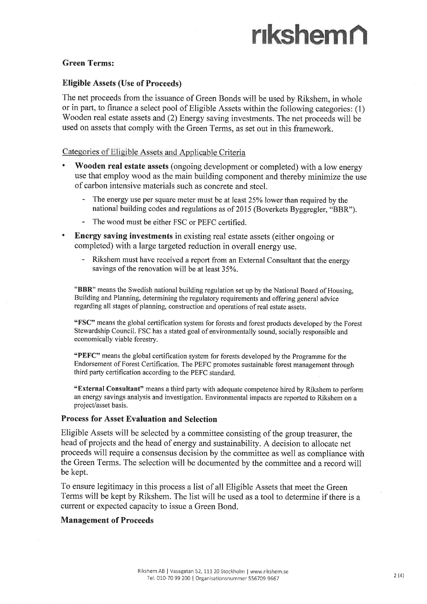## nkshemñ

#### Green Terms:

#### Eligible Assets (Use of Proceeds)

The net proceeds from the issuance of Green Bonds will be used by Rikshem, in whole or in part, to finance a select pool of Eligible Assets within the following categories: (1) Wooden real estate assets and (2) Energy saving investments. The net proceeds will be used on assets that comply with the Green Terms, as set out in this framework.

#### Categories of Eligible Assets and Applicable Criteria

- Wooden real estate assets (ongoing development or completed) with a low energy use that employ wood as the main building component and thereby minimize the use of carbon intensive materials such as concrete and steel.
	- The energy use per square meter must be at least 25% lower than required by the national building codes and regulations as of 2015 (Boverkets Byggregler, "BBR").
	- The wood must be either FSC or PEFC certified.
- Energy saving investments in existing real estate assets (either ongoing or completed) with a large targeted reduction in overall energy use.
	- Rikshem must have received a report from an External Consultant that the energy savings of the renovation will be at least 35%.

"BBR" means the Swedish national building regulation set up by the National Board of Housing, Building and Planning, determining the regulatory requirements and offering general advice regarding all stages of planning, construction and operations of real estate assets.

"FSC" means the global certification system for forests and forest products developed by the Forest Stewardship Council. FSC has a stated goal of environmentally sound, socially responsible and economically viable forestry.

"PEFC" means the global certification system for forests developed by the Programme for the Endorsement of Forest Certification. The PEFC promotes sustainable forest management through third party certification according to the PEFC standard.

"External Consultant" means a third party with adequate competence hired by Rikshem to perform an energy savings analysis and investigation. Environmental impacts are reported to Rikshem on a project/asset basis.

#### Process for Asset Evaluation and Selection

Eligible Assets will be selected by a committee consisting of the group treasurer, the head of projects and the head of energy and sustainability. A decision to allocate net proceeds will require a consensus decision by the committee as well as compliance with the Green Terms. The selection will be documented by the committee and a record will be kept.

To ensure legitimacy in this process a list of all Eligible Assets that meet the Green Terms will be kept by Rikshem. The list will be used as a tool to determine if there is <sup>a</sup> current or expected capacity to issue a Green Bond.

#### Management of Proceeds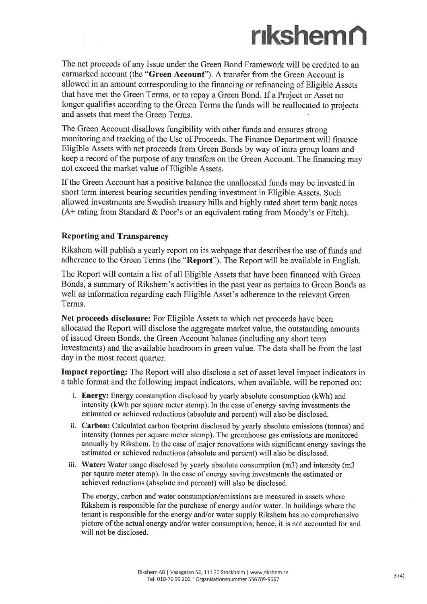### rıkshem∩

The net proceeds of any issue under the Green Bond Framework will be credited to an earmarked account (the "Green Account"). A transfer from the Green Account is allowed in an amount corresponding to the financing or refinancing of Eligible Assets that have met the Green Terms, or to repay a Green Bond. If a Project or Asset no longer qualifies according to the Green Terms the funds will be reallocated to projects and assets that meet the Green Terms.

The Green Account disallows fungibility with other funds and ensures strong monitoring and tracking of the Use of Proceeds. The Finance Department will finance Eligible Assets with net proceeds from Green Bonds by way of intra group loans and keep a record of the purpose of any transfers on the Green Account. The financing may not exceed the market value of Eligible Assets.

If the Green Account has a positive balance the unallocated funds may be invested in short term interest bearing securities pending investment in Eligible Assets. Such allowed investments are Swedish treasury bills and highly rated short term bank notes  $(A+$  rating from Standard & Poor's or an equivalent rating from Moody's or Fitch).

#### Reporting and Transparency

Rikshem will publish a yearly report on its webpage that describes the use of funds and adherence to the Green Terms (the "Report"). The Report will be available in English.

The Report will contain a list of all Eligible Assets that have been financed with Green Bonds, a summary of Rikshem's activities in the past year as pertains to Green Bonds as well as information regarding each Eligible Asset's adherence to the relevant Green Terms.

Net proceeds disclosure: For Eligible Assets to which net proceeds have been allocated the Report will disclose the aggregate market value, the outstanding amounts of issued Green Bonds, the Green Account balance (including any short term investments) and the available headroom in green value. The data shall be from the last day in the most recent quarter.

Impact reporting: The Report will also disclose a set of asset level impact indicators in <sup>a</sup>table format and the following impact indicators, when available, will be reported on:

- i. Energy: Energy consumption disclosed by yearly absolute consumption (kWh) and intensity (kWh per square meter atemp). In the case of energy saving investments the estimated or achieved reductions (absolute and percent) will also be disclosed.
- ii. Carbon: Calculated carbon footprint disclosed by yearly absolute emissions (tonnes) and intensity (tonnes per square meter atemp). The greenhouse gas emissions are monitored annually by Rikshem. In the case of major renovations with significant energy savings the estimated or achieved reductions (absolute and percent) will also be disclosed.
- iii. Water: Water usage disclosed by yearly absolute consumption (m3) and intensity (m3 per square meter atemp). In the case of energy saving investments the estimated or achieved reductions (absolute and percent) will also be disclosed.

The energy, carbon and water consumption/emissions are measured in assets where Rikshem is responsible for the purchase of energy and/or water. In buildings where the tenant is responsible for the energy and/or water supply Rikshem has no comprehensive picture of the actual energy and/or water consumption; hence, it is not accounted for and will not be disclosed.